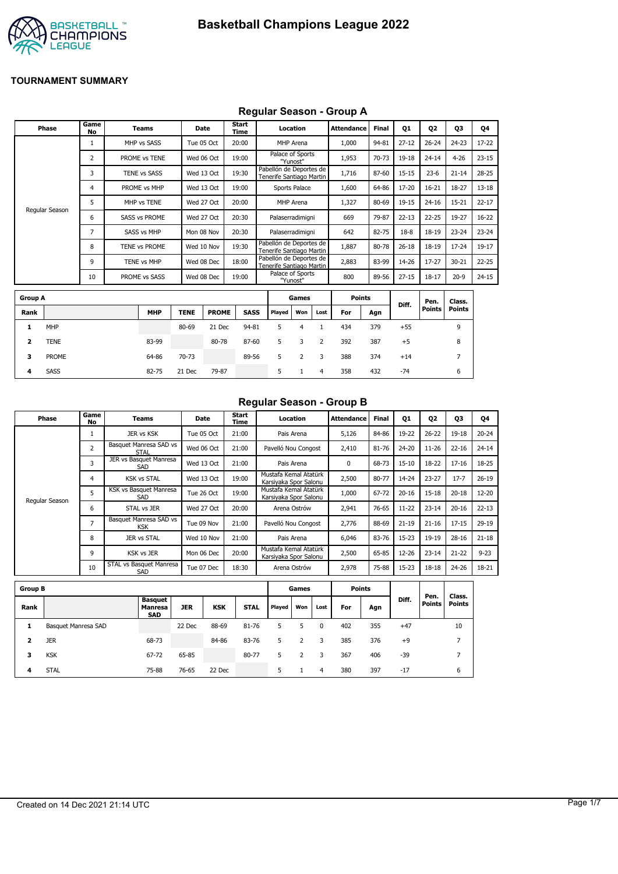

#### **Regular Season - Group A**

|                | <b>Phase</b>   | Game<br>No | <b>Teams</b>         |             | Date         | <b>Start</b><br>Time |             |                                                     | Location         |      | <b>Attendance</b> | <b>Final</b> | 01        | <b>Q2</b>     | 03             | Q4        |
|----------------|----------------|------------|----------------------|-------------|--------------|----------------------|-------------|-----------------------------------------------------|------------------|------|-------------------|--------------|-----------|---------------|----------------|-----------|
|                |                | 1          | MHP vs SASS          |             | Tue 05 Oct   | 20:00                |             |                                                     | <b>MHP</b> Arena |      | 1,000             | 94-81        | $27-12$   | $26 - 24$     | $24 - 23$      | 17-22     |
|                |                | 2          | PROME vs TENE        |             | Wed 06 Oct   | 19:00                |             | Palace of Sports                                    | "Yunost"         |      | 1,953             | 70-73        | 19-18     | $24 - 14$     | $4 - 26$       | $23 - 15$ |
|                |                | 3          | TENE vs SASS         |             | Wed 13 Oct   | 19:30                |             | Pabellón de Deportes de<br>Tenerife Santiago Martin |                  |      | 1,716             | 87-60        | $15 - 15$ | $23-6$        | $21 - 14$      | 28-25     |
|                |                | 4          | PROME vs MHP         |             | Wed 13 Oct   | 19:00                |             |                                                     | Sports Palace    |      | 1,600             | 64-86        | 17-20     | $16 - 21$     | 18-27          | $13 - 18$ |
|                |                | 5          | MHP vs TENE          |             | Wed 27 Oct   | 20:00                |             |                                                     | MHP Arena        |      | 1,327             | 80-69        | 19-15     | $24 - 16$     | $15 - 21$      | $22 - 17$ |
|                | Regular Season | 6          | <b>SASS vs PROME</b> |             | Wed 27 Oct   | 20:30                |             | Palaserradimigni                                    |                  |      | 669               | 79-87        | $22 - 13$ | $22 - 25$     | 19-27          | $16 - 22$ |
|                |                | 7          | SASS vs MHP          |             | Mon 08 Nov   | 20:30                |             | Palaserradimigni                                    |                  |      | 642               | 82-75        | $18-8$    | $18 - 19$     | $23 - 24$      | $23 - 24$ |
|                |                | 8          | TENE vs PROME        |             | Wed 10 Nov   | 19:30                |             | Pabellón de Deportes de<br>Tenerife Santiago Martin |                  |      | 1,887             | 80-78        | $26 - 18$ | 18-19         | $17 - 24$      | 19-17     |
|                |                | 9          | TENE vs MHP          |             | Wed 08 Dec   | 18:00                |             | Pabellón de Deportes de<br>Tenerife Santiago Martin |                  |      | 2,883             | 83-99        | 14-26     | $17 - 27$     | $30 - 21$      | $22 - 25$ |
|                |                | 10         | PROME vs SASS        |             | Wed 08 Dec   | 19:00                |             | Palace of Sports                                    | "Yunost"         |      | 800               | 89-56        | $27 - 15$ | $18 - 17$     | $20-9$         | $24 - 15$ |
|                |                |            |                      |             |              |                      |             |                                                     |                  |      |                   |              |           |               |                |           |
| <b>Group A</b> |                |            |                      |             |              |                      |             |                                                     | Games            |      | <b>Points</b>     |              | Diff.     | Pen.          | Class.         |           |
| Rank           |                |            | <b>MHP</b>           | <b>TENE</b> | <b>PROME</b> |                      | <b>SASS</b> | <b>Plaved</b>                                       | Won              | Lost | For               | Agn          |           | <b>Points</b> | <b>Points</b>  |           |
| 1              | MHP            |            |                      | 80-69       | 21 Dec       | 94-81                |             | 5                                                   | 4                | 1    | 434               | 379          | $+55$     |               | 9              |           |
| 2              | <b>TENE</b>    |            | 83-99                |             | 80-78        | 87-60                |             | 5                                                   | 3                | 2    | 392               | 387          | $+5$      |               | 8              |           |
| 3              | PROME          |            | 64-86                | 70-73       |              | 89-56                |             | 5                                                   | 2                | 3    | 388               | 374          | $+14$     |               | $\overline{7}$ |           |

**4** SASS 82-75 21 Dec 79-87 5 1 4 358 432 -74 6

#### **Regular Season - Group B**

| Phase          | Game<br>No     | Teams                                | Date       | Start<br>Time | Location                                       | <b>Attendance</b> | <b>Final</b> | 01        | 02        | 03        | Q4        |
|----------------|----------------|--------------------------------------|------------|---------------|------------------------------------------------|-------------------|--------------|-----------|-----------|-----------|-----------|
|                |                | JER vs KSK                           | Tue 05 Oct | 21:00         | Pais Arena                                     | 5,126             | 84-86        | 19-22     | $26 - 22$ | 19-18     | $20 - 24$ |
|                | 2              | Basquet Manresa SAD vs<br>STAL       | Wed 06 Oct | 21:00         | Pavelló Nou Congost                            | 2,410             | 81-76        | 24-20     | $11 - 26$ | $22 - 16$ | $24 - 14$ |
|                | 3              | JER vs Basquet Manresa<br>SAD        | Wed 13 Oct | 21:00         | Pais Arena                                     | 0                 | 68-73        | $15 - 10$ | 18-22     | $17 - 16$ | 18-25     |
|                | 4              | <b>KSK vs STAL</b>                   | Wed 13 Oct | 19:00         | Mustafa Kemal Atatürk<br>Karsiyaka Spor Salonu | 2,500             | 80-77        | 14-24     | $23 - 27$ | $17 - 7$  | $26-19$   |
| Regular Season | 5              | KSK vs Basquet Manresa<br>SAD        | Tue 26 Oct | 19:00         | Mustafa Kemal Atatürk<br>Karsiyaka Spor Salonu | 1,000             | 67-72        | $20 - 16$ | $15 - 18$ | $20 - 18$ | $12 - 20$ |
|                | 6              | STAL vs JER                          | Wed 27 Oct | 20:00         | Arena Ostrów                                   | 2,941             | 76-65        | $11 - 22$ | $23 - 14$ | $20 - 16$ | $22 - 13$ |
|                | $\overline{7}$ | Basquet Manresa SAD vs<br><b>KSK</b> | Tue 09 Nov | 21:00         | Pavelló Nou Congost                            | 2,776             | 88-69        | $21 - 19$ | $21 - 16$ | $17 - 15$ | $29-19$   |
|                | 8              | JER vs STAL                          | Wed 10 Nov | 21:00         | Pais Arena                                     | 6.046             | 83-76        | $15 - 23$ | 19-19     | $28 - 16$ | $21 - 18$ |
|                | 9              | <b>KSK vs JER</b>                    | Mon 06 Dec | 20:00         | Mustafa Kemal Atatürk<br>Karsiyaka Spor Salonu | 2,500             | 65-85        | 12-26     | $23 - 14$ | $21 - 22$ | $9 - 23$  |
|                | 10             | STAL vs Basquet Manresa<br>SAD       | Tue 07 Dec | 18:30         | Arena Ostrów                                   | 2,978             | 75-88        | 15-23     | $18 - 18$ | $24 - 26$ | 18-21     |

| <b>Group B</b> |                     |                                         |            |            |             |        | Games |      | <b>Points</b> |     |       |                       |                         |
|----------------|---------------------|-----------------------------------------|------------|------------|-------------|--------|-------|------|---------------|-----|-------|-----------------------|-------------------------|
| Rank           |                     | Basquet<br><b>Manresa</b><br><b>SAD</b> | <b>JER</b> | <b>KSK</b> | <b>STAL</b> | Played | Won   | Lost | For           | Agn | Diff. | Pen.<br><b>Points</b> | Class.<br><b>Points</b> |
| 1              | Basquet Manresa SAD |                                         | 22 Dec     | 88-69      | 81-76       | 5      |       | 0    | 402           | 355 | $+47$ |                       | 10                      |
| 2              | <b>JER</b>          | 68-73                                   |            | 84-86      | 83-76       | 5      |       | 3    | 385           | 376 | $+9$  |                       | –                       |
| 3              | <b>KSK</b>          | 67-72                                   | 65-85      |            | 80-77       | 5      | 2     | 3    | 367           | 406 | $-39$ |                       | –                       |
| 4              | <b>STAL</b>         | 75-88                                   | 76-65      | 22 Dec     |             | 5.     |       | 4    | 380           | 397 | $-17$ |                       | 6                       |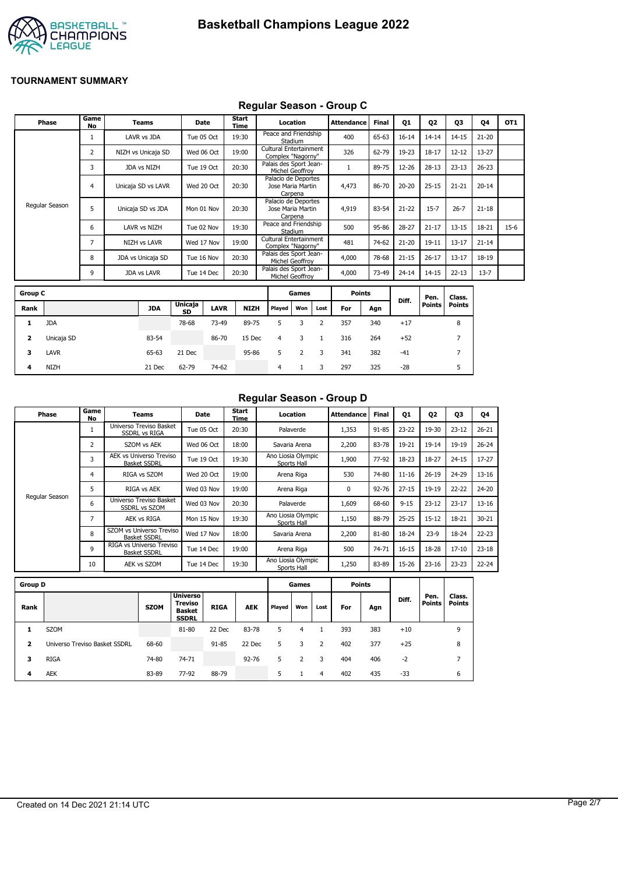

## **Regular Season - Group C**

|                | Phase          | Game<br><b>No</b> | <b>Teams</b>        |                      | <b>Date</b> | Start<br><b>Time</b> | Location       |                                             |                | <b>Attendance</b> | Final | Q1        | Q <sub>2</sub> | Q3             | 04        | OT <sub>1</sub> |
|----------------|----------------|-------------------|---------------------|----------------------|-------------|----------------------|----------------|---------------------------------------------|----------------|-------------------|-------|-----------|----------------|----------------|-----------|-----------------|
|                |                | $\mathbf{1}$      | LAVR vs JDA         |                      | Tue 05 Oct  | 19:30                | Stadium        | Peace and Friendship                        |                | 400               | 65-63 | $16 - 14$ | $14 - 14$      | $14 - 15$      | $21 - 20$ |                 |
|                |                | 2                 | NIZH vs Unicaja SD  |                      | Wed 06 Oct  | 19:00                |                | Cultural Entertainment<br>Complex "Nagorny" |                | 326               | 62-79 | 19-23     | $18 - 17$      | $12 - 12$      | $13 - 27$ |                 |
|                |                | 3                 | JDA vs NIZH         |                      | Tue 19 Oct  | 20:30                |                | Palais des Sport Jean-<br>Michel Geoffroy   |                | $\mathbf{1}$      | 89-75 | 12-26     | $28-13$        | $23 - 13$      | $26 - 23$ |                 |
|                |                | $\overline{4}$    | Unicaja SD vs LAVR  |                      | Wed 20 Oct  | 20:30                | Carpena        | Palacio de Deportes<br>Jose Maria Martin    |                | 4,473             | 86-70 | $20 - 20$ | $25 - 15$      | $21 - 21$      | $20 - 14$ |                 |
|                | Regular Season | 5                 | Unicaja SD vs JDA   |                      | Mon 01 Nov  | 20:30                | Carpena        | Palacio de Deportes<br>Jose Maria Martin    |                | 4,919             | 83-54 | $21 - 22$ | $15 - 7$       | $26 - 7$       | $21 - 18$ |                 |
|                |                | 6                 | <b>LAVR vs NIZH</b> |                      | Tue 02 Nov  | 19:30                | Stadium        | Peace and Friendship                        |                | 500               | 95-86 | 28-27     | $21 - 17$      | $13 - 15$      | 18-21     | $15-6$          |
|                |                | $\overline{7}$    | NIZH vs LAVR        |                      | Wed 17 Nov  | 19:00                |                | Cultural Entertainment<br>Complex "Nagorny" |                | 481               | 74-62 | $21 - 20$ | $19 - 11$      | $13 - 17$      | $21 - 14$ |                 |
|                |                | 8                 | JDA vs Unicaja SD   |                      | Tue 16 Nov  | 20:30                |                | Palais des Sport Jean-<br>Michel Geoffrov   |                | 4,000             | 78-68 | $21 - 15$ | $26 - 17$      | $13 - 17$      | 18-19     |                 |
|                |                | 9                 | JDA vs LAVR         |                      | Tue 14 Dec  | 20:30                |                | Palais des Sport Jean-<br>Michel Geoffroy   |                | 4,000             | 73-49 | $24 - 14$ | $14 - 15$      | $22 - 13$      | $13 - 7$  |                 |
| <b>Group C</b> |                |                   |                     |                      |             |                      |                | Games                                       |                | <b>Points</b>     |       |           | Pen.           | Class.         |           |                 |
| Rank           |                |                   | <b>JDA</b>          | Unicaja<br><b>SD</b> | <b>LAVR</b> | <b>NIZH</b>          | Played         | Won                                         | Lost           | For               | Agn   | Diff.     | <b>Points</b>  | <b>Points</b>  |           |                 |
| 1              | <b>JDA</b>     |                   |                     | 78-68                | 73-49       | 89-75                | 5              | 3                                           | $\overline{2}$ | 357               | 340   | $+17$     |                | 8              |           |                 |
| 2              | Unicaja SD     |                   | 83-54               |                      | 86-70       | 15 Dec               | $\overline{4}$ | 3                                           | $\mathbf{1}$   | 316               | 264   | $+52$     |                | $\overline{7}$ |           |                 |
| з              | LAVR           |                   | 65-63               | 21 Dec               |             | 95-86                | 5              | $\overline{2}$                              | 3              | 341               | 382   | $-41$     |                | 7              |           |                 |
| 4              | <b>NIZH</b>    |                   | 21 Dec              | 62-79                | 74-62       |                      | 4              | $\mathbf{1}$                                | 3              | 297               | 325   | $-28$     |                | 5              |           |                 |

#### **Regular Season - Group D**

| Phase          | Game<br>No     | Teams                                           | Date       | Start<br>Time | Location                          | Attendance | <b>Final</b> | <b>Q1</b> | 02        | 03        | Q4        |
|----------------|----------------|-------------------------------------------------|------------|---------------|-----------------------------------|------------|--------------|-----------|-----------|-----------|-----------|
|                |                | Universo Treviso Basket<br><b>SSDRL vs RIGA</b> | Tue 05 Oct | 20:30         | Palaverde                         | 1,353      | $91 - 85$    | $23 - 22$ | 19-30     | $23 - 12$ | $26 - 21$ |
|                | $\overline{2}$ | SZOM vs AEK                                     | Wed 06 Oct | 18:00         | Savaria Arena                     | 2,200      | 83-78        | 19-21     | 19-14     | 19-19     | $26 - 24$ |
|                | 3              | AEK vs Universo Treviso<br><b>Basket SSDRL</b>  | Tue 19 Oct | 19:30         | Ano Liosia Olympic<br>Sports Hall | 1,900      | 77-92        | 18-23     | 18-27     | $24 - 15$ | $17 - 27$ |
|                | 4              | RIGA vs SZOM                                    | Wed 20 Oct | 19:00         | Arena Riga                        | 530        | 74-80        | $11 - 16$ | $26 - 19$ | 24-29     | $13 - 16$ |
|                | 5              | RIGA vs AEK                                     | Wed 03 Nov | 19:00         | Arena Riga                        | 0          | 92-76        | $27 - 15$ | 19-19     | $22 - 22$ | $24 - 20$ |
| Regular Season | 6              | Universo Treviso Basket<br><b>SSDRL vs SZOM</b> | Wed 03 Nov | 20:30         | Palaverde                         | 1,609      | 68-60        | $9 - 15$  | $23 - 12$ | $23 - 17$ | $13 - 16$ |
|                | 7              | AEK vs RIGA                                     | Mon 15 Nov | 19:30         | Ano Liosia Olympic<br>Sports Hall | 1,150      | 88-79        | $25 - 25$ | $15 - 12$ | 18-21     | $30 - 21$ |
|                | 8              | SZOM vs Universo Treviso<br><b>Basket SSDRL</b> | Wed 17 Nov | 18:00         | Savaria Arena                     | 2,200      | 81-80        | 18-24     | $23-9$    | 18-24     | $22 - 23$ |
|                | 9              | RIGA vs Universo Treviso<br><b>Basket SSDRL</b> | Tue 14 Dec | 19:00         | Arena Riga                        | 500        | 74-71        | $16 - 15$ | 18-28     | $17 - 10$ | $23 - 18$ |
|                | 10             | AEK vs SZOM                                     | Tue 14 Dec | 19:30         | Ano Liosia Olympic<br>Sports Hall | 1,250      | 83-89        | 15-26     | $23 - 16$ | $23 - 23$ | $22 - 24$ |

| <b>Group D</b> |                               |             |                                                                    |             |            |        | Games |      |     | <b>Points</b> |       |                       |                         |
|----------------|-------------------------------|-------------|--------------------------------------------------------------------|-------------|------------|--------|-------|------|-----|---------------|-------|-----------------------|-------------------------|
| Rank           |                               | <b>SZOM</b> | <b>Universo</b><br><b>Treviso</b><br><b>Basket</b><br><b>SSDRL</b> | <b>RIGA</b> | <b>AEK</b> | Played | Won   | Lost | For | Agn           | Diff. | Pen.<br><b>Points</b> | Class.<br><b>Points</b> |
| 1              | <b>SZOM</b>                   |             | 81-80                                                              | 22 Dec      | 83-78      | 5      | 4     |      | 393 | 383           | $+10$ |                       | 9                       |
| 2              | Universo Treviso Basket SSDRL | 68-60       |                                                                    | 91-85       | 22 Dec     | 5.     | 3     |      | 402 | 377           | $+25$ |                       | 8                       |
| 3              | <b>RIGA</b>                   | 74-80       | 74-71                                                              |             | $92 - 76$  | 5      |       | 3    | 404 | 406           | -2    |                       | 7                       |
| 4              | <b>AEK</b>                    | 83-89       | 77-92                                                              | 88-79       |            | 5.     |       | 4    | 402 | 435           | -33   |                       | 6                       |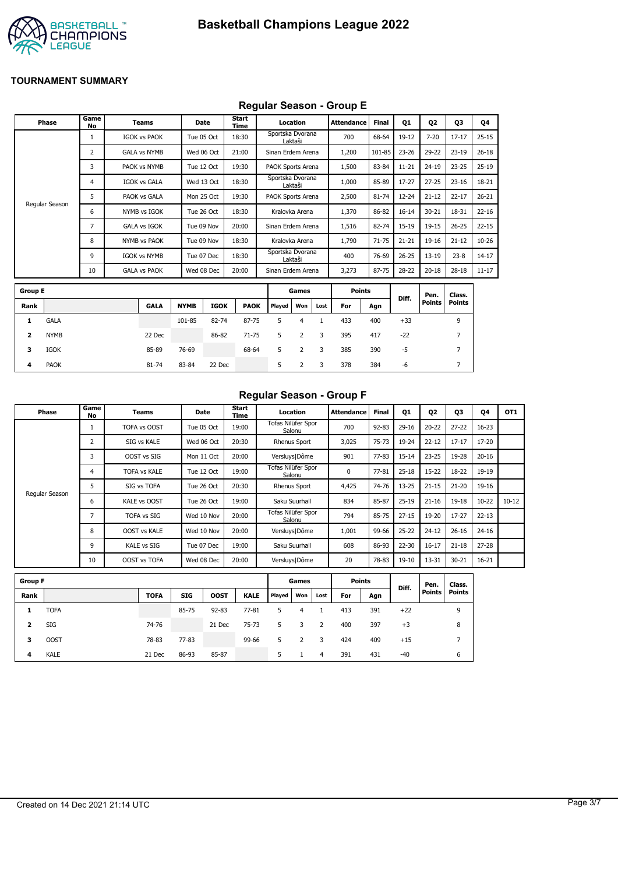

## **Regular Season - Group E**

|                         |                |                   |                     |             |             | .                    |                   |                |              |                   |              |           |               |                |           |
|-------------------------|----------------|-------------------|---------------------|-------------|-------------|----------------------|-------------------|----------------|--------------|-------------------|--------------|-----------|---------------|----------------|-----------|
|                         | <b>Phase</b>   | Game<br><b>No</b> | <b>Teams</b>        |             | Date        | <b>Start</b><br>Time |                   | Location       |              | <b>Attendance</b> | <b>Final</b> | Q1        | 02            | Q3             | Q4        |
|                         |                | 1                 | <b>IGOK vs PAOK</b> |             | Tue 05 Oct  | 18:30                | Sportska Dvorana  | Laktaši        |              | 700               | 68-64        | 19-12     | $7 - 20$      | $17 - 17$      | $25 - 15$ |
|                         |                | 2                 | <b>GALA vs NYMB</b> |             | Wed 06 Oct  | 21:00                | Sinan Erdem Arena |                |              | 1,200             | 101-85       | $23 - 26$ | 29-22         | $23-19$        | $26 - 18$ |
|                         |                | 3                 | PAOK vs NYMB        |             | Tue 12 Oct  | 19:30                | PAOK Sports Arena |                |              | 1,500             | 83-84        | $11 - 21$ | $24 - 19$     | $23 - 25$      | $25-19$   |
|                         |                | 4                 | <b>IGOK vs GALA</b> |             | Wed 13 Oct  | 18:30                | Sportska Dvorana  | Laktaši        |              | 1,000             | 85-89        | $17 - 27$ | $27 - 25$     | $23 - 16$      | 18-21     |
|                         |                | 5                 | PAOK vs GALA        |             | Mon 25 Oct  | 19:30                | PAOK Sports Arena |                |              | 2,500             | $81 - 74$    | $12 - 24$ | $21 - 12$     | $22 - 17$      | $26 - 21$ |
|                         | Regular Season | 6                 | NYMB vs IGOK        |             | Tue 26 Oct  | 18:30                |                   | Kralovka Arena |              | 1,370             | 86-82        | $16 - 14$ | $30 - 21$     | 18-31          | $22 - 16$ |
|                         |                | 7                 | <b>GALA vs IGOK</b> |             | Tue 09 Nov  | 20:00                | Sinan Erdem Arena |                |              | 1,516             | 82-74        | $15-19$   | $19 - 15$     | $26 - 25$      | $22 - 15$ |
|                         |                | 8                 | <b>NYMB vs PAOK</b> |             | Tue 09 Nov  | 18:30                |                   | Kralovka Arena |              | 1,790             | $71 - 75$    | $21 - 21$ | 19-16         | $21 - 12$      | $10 - 26$ |
|                         |                | 9                 | <b>IGOK vs NYMB</b> |             | Tue 07 Dec  | 18:30                | Sportska Dvorana  | Laktaši        |              | 400               | 76-69        | $26 - 25$ | $13 - 19$     | $23 - 8$       | $14 - 17$ |
|                         |                | 10                | <b>GALA vs PAOK</b> |             | Wed 08 Dec  | 20:00                | Sinan Erdem Arena |                |              | 3,273             | 87-75        | 28-22     | $20 - 18$     | $28 - 18$      | $11 - 17$ |
| <b>Group E</b>          |                |                   |                     |             |             |                      |                   | Games          |              | <b>Points</b>     |              |           | Pen.          | Class.         |           |
| Rank                    |                |                   | <b>GALA</b>         | <b>NYMB</b> | <b>IGOK</b> | <b>PAOK</b>          | Played            | Won            | Lost         | For               | Agn          | Diff.     | <b>Points</b> | <b>Points</b>  |           |
| 1                       | <b>GALA</b>    |                   |                     | 101-85      | 82-74       | 87-75                | 5                 | $\overline{4}$ | $\mathbf{1}$ | 433               | 400          | $+33$     |               | 9              |           |
| $\overline{\mathbf{2}}$ | <b>NYMB</b>    |                   | 22 Dec              |             | 86-82       | $71 - 75$            | 5                 | $\overline{2}$ | 3            | 395               | 417          | $-22$     |               | $\overline{7}$ |           |
| з                       | <b>IGOK</b>    |                   | 85-89               | 76-69       |             | 68-64                | 5                 | $\overline{2}$ | 3            | 385               | 390          | $-5$      |               | $\overline{7}$ |           |
| 4                       | <b>PAOK</b>    |                   | 81-74               | 83-84       | 22 Dec      |                      | 5                 | 2              | 3            | 378               | 384          | -6        |               | 7              |           |

## **Regular Season - Group F**

| Phase          | Game<br>No | Teams               | <b>Date</b> | Start<br>Time | Location                     | <b>Attendance</b> | <b>Final</b> | 01        | Q <sub>2</sub> | Q3        | 04        | OT <sub>1</sub> |
|----------------|------------|---------------------|-------------|---------------|------------------------------|-------------------|--------------|-----------|----------------|-----------|-----------|-----------------|
|                |            | TOFA vs OOST        | Tue 05 Oct  | 19:00         | Tofas Nilüfer Spor<br>Salonu | 700               | $92 - 83$    | $29 - 16$ | $20 - 22$      | $27 - 22$ | $16 - 23$ |                 |
|                |            | SIG vs KALE         | Wed 06 Oct  | 20:30         | Rhenus Sport                 | 3,025             | $75 - 73$    | 19-24     | $22 - 12$      | $17 - 17$ | 17-20     |                 |
|                | 3          | OOST vs SIG         | Mon 11 Oct  | 20:00         | Versluys   Dôme              | 901               | 77-83        | $15 - 14$ | $23 - 25$      | 19-28     | $20 - 16$ |                 |
|                | 4          | <b>TOFA vs KALE</b> | Tue 12 Oct  | 19:00         | Tofas Nilüfer Spor<br>Salonu | 0                 | $77 - 81$    | $25 - 18$ | $15 - 22$      | $18 - 22$ | 19-19     |                 |
|                |            | SIG vs TOFA         | Tue 26 Oct  | 20:30         | Rhenus Sport                 | 4,425             | 74-76        | $13 - 25$ | $21 - 15$      | $21 - 20$ | 19-16     |                 |
| Regular Season | 6          | <b>KALE vs OOST</b> | Tue 26 Oct  | 19:00         | Saku Suurhall                | 834               | 85-87        | $25-19$   | $21 - 16$      | $19 - 18$ | $10-22$   | $10 - 12$       |
|                |            | <b>TOFA vs SIG</b>  | Wed 10 Nov  | 20:00         | Tofas Nilüfer Spor<br>Salonu | 794               | 85-75        | $27 - 15$ | 19-20          | $17 - 27$ | $22 - 13$ |                 |
|                | 8          | <b>OOST vs KALE</b> | Wed 10 Nov  | 20:00         | Versluys   Dôme              | 1,001             | 99-66        | $25 - 22$ | $24 - 12$      | $26 - 16$ | $24 - 16$ |                 |
|                | 9          | KALE vs SIG         | Tue 07 Dec  | 19:00         | Saku Suurhall                | 608               | 86-93        | $22 - 30$ | $16 - 17$      | $21 - 18$ | $27 - 28$ |                 |
|                | 10         | OOST vs TOFA        | Wed 08 Dec  | 20:00         | Versluys   Dôme              | 20                | 78-83        | $19 - 10$ | 13-31          | $30 - 21$ | $16 - 21$ |                 |

| <b>Group F</b> |             |             |            |             |             |        | Games |      | <b>Points</b> |     | Diff. | Pen.   | Class.        |
|----------------|-------------|-------------|------------|-------------|-------------|--------|-------|------|---------------|-----|-------|--------|---------------|
| Rank           |             | <b>TOFA</b> | <b>SIG</b> | <b>OOST</b> | <b>KALE</b> | Played | Won   | Lost | For           | Agn |       | Points | <b>Points</b> |
|                | <b>TOFA</b> |             | 85-75      | $92 - 83$   | $77 - 81$   | 5.     | 4     |      | 413           | 391 | $+22$ |        | 9             |
| 2              | SIG         | 74-76       |            | 21 Dec      | $75 - 73$   | 5.     | 3     | -2   | 400           | 397 | $+3$  |        | 8             |
| з              | <b>OOST</b> | 78-83       | $77 - 83$  |             | 99-66       | 5      |       | 3    | 424           | 409 | $+15$ |        | –             |
| 4              | <b>KALE</b> | 21 Dec      | 86-93      | 85-87       |             | 5      |       | 4    | 391           | 431 | $-40$ |        | 6             |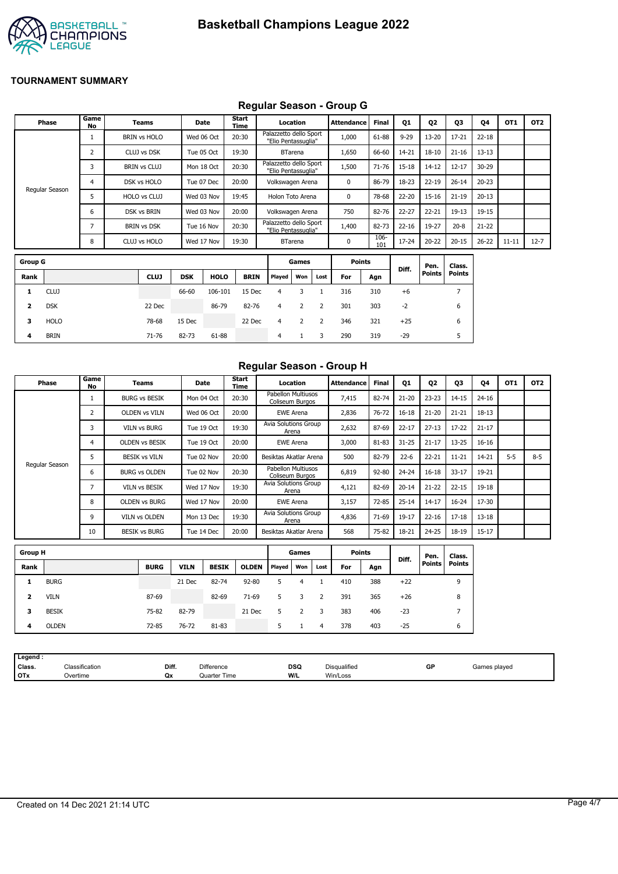

## **Regular Season - Group G**

|                |                |                     |            |             | $\cdot$       |                                               |                |      |               |              |           |                |               |           |                 |                 |
|----------------|----------------|---------------------|------------|-------------|---------------|-----------------------------------------------|----------------|------|---------------|--------------|-----------|----------------|---------------|-----------|-----------------|-----------------|
| Phase          | Game<br>No     | <b>Teams</b>        |            | Date        | Start<br>Time |                                               | Location       |      | Attendance    | <b>Final</b> | Q1        | Q <sub>2</sub> | Q3            | Q4        | OT <sub>1</sub> | OT <sub>2</sub> |
|                |                | <b>BRIN vs HOLO</b> |            | Wed 06 Oct  | 20:30         | Palazzetto dello Sport<br>"Elio Pentassuglia" |                |      | 1,000         | 61-88        | $9 - 29$  | 13-20          | $17 - 21$     | $22 - 18$ |                 |                 |
|                | $\overline{2}$ | CLUJ vs DSK         | Tue 05 Oct |             | 19:30         |                                               | <b>BTarena</b> |      | 1,650         | 66-60        | 14-21     | $18 - 10$      | $21 - 16$     | $13 - 13$ |                 |                 |
|                | 3              | <b>BRIN vs CLUJ</b> | Mon 18 Oct |             | 20:30         | Palazzetto dello Sport<br>"Elio Pentassuglia" |                |      | 1,500         | 71-76        | 15-18     | 14-12          | $12 - 17$     | 30-29     |                 |                 |
|                | 4              | DSK vs HOLO         | Tue 07 Dec |             | 20:00         | Volkswagen Arena                              |                |      | 0             | 86-79        | 18-23     | $22 - 19$      | $26 - 14$     | $20 - 23$ |                 |                 |
| Regular Season | 5              | HOLO vs CLUJ        |            | Wed 03 Nov  | 19:45         | Holon Toto Arena                              |                |      | 0             | 78-68        | 22-20     | $15 - 16$      | $21 - 19$     | $20 - 13$ |                 |                 |
|                | 6              | DSK vs BRIN         |            | Wed 03 Nov  | 20:00         | Volkswagen Arena                              |                |      | 750           | 82-76        | $22 - 27$ | $22 - 21$      | $19 - 13$     | 19-15     |                 |                 |
|                | 7              | <b>BRIN vs DSK</b>  | Tue 16 Nov |             | 20:30         | Palazzetto dello Sport<br>"Elio Pentassuglia" |                |      | 1,400         | 82-73        | $22 - 16$ | 19-27          | $20 - 8$      | $21 - 22$ |                 |                 |
|                | 8              | CLUJ vs HOLO        |            | Wed 17 Nov  | 19:30         |                                               | <b>BTarena</b> |      | 0             | 106-<br>101  | 17-24     | $20 - 22$      | $20 - 15$     | $26 - 22$ | $11 - 11$       | $12 - 7$        |
| <b>Group G</b> |                |                     |            |             |               |                                               | Games          |      | <b>Points</b> |              |           | Pen.           | Class.        |           |                 |                 |
| Rank           |                | <b>CLUJ</b>         | <b>DSK</b> | <b>HOLO</b> | <b>BRIN</b>   | <b>Played</b>                                 | Won            | Lost | For           | Agn          | Diff.     | <b>Points</b>  | <b>Points</b> |           |                 |                 |

| iroup G |             |             |            |             |             |                | Games |              | Points |     | Diff. | Pen.   | Class. |
|---------|-------------|-------------|------------|-------------|-------------|----------------|-------|--------------|--------|-----|-------|--------|--------|
| Rank    |             | <b>CLUJ</b> | <b>DSK</b> | <b>HOLO</b> | <b>BRIN</b> | Played         | Won   | Lost         | For    | Agn |       | Points | Points |
| 1.      | <b>CLUJ</b> |             | 66-60      | 106-101     | 15 Dec      | 4              | 3     |              | 316    | 310 | $+6$  |        |        |
|         | <b>DSK</b>  | 22 Dec      |            | 86-79       | 82-76       | $\overline{4}$ | 2     | <sup>2</sup> | 301    | 303 | $-2$  |        | 6      |
| з.      | <b>HOLO</b> | 78-68       | 15 Dec     |             | 22 Dec      | $\overline{4}$ | 2     | 2            | 346    | 321 | $+25$ |        | 6      |
| 4       | <b>BRIN</b> | 71-76       | 82-73      | 61-88       |             | 4              |       | 3            | 290    | 319 | $-29$ |        |        |

## **Regular Season - Group H**

| Phase          | Game<br>No | Teams                 | Date       | Start<br>Time | Location                              | <b>Attendance</b> | <b>Final</b> | Q1        | Q <sub>2</sub> | Q3        | Q4        | OT <sub>1</sub> | OT <sub>2</sub> |
|----------------|------------|-----------------------|------------|---------------|---------------------------------------|-------------------|--------------|-----------|----------------|-----------|-----------|-----------------|-----------------|
|                |            | <b>BURG vs BESIK</b>  | Mon 04 Oct | 20:30         | Pabellon Multiusos<br>Coliseum Burgos | 7,415             | 82-74        | $21 - 20$ | $23 - 23$      | $14 - 15$ | $24 - 16$ |                 |                 |
|                | 2          | <b>OLDEN vs VILN</b>  | Wed 06 Oct | 20:00         | <b>EWE Arena</b>                      | 2,836             | $76 - 72$    | $16 - 18$ | $21 - 20$      | $21 - 21$ | $18 - 13$ |                 |                 |
|                |            | <b>VILN vs BURG</b>   | Tue 19 Oct | 19:30         | Avia Solutions Group<br>Arena         | 2,632             | 87-69        | $22 - 17$ | $27 - 13$      | $17 - 22$ | $21 - 17$ |                 |                 |
|                | 4          | <b>OLDEN VS BESIK</b> | Tue 19 Oct | 20:00         | <b>EWE Arena</b>                      | 3,000             | 81-83        | $31 - 25$ | $21 - 17$      | $13 - 25$ | $16 - 16$ |                 |                 |
|                | 5          | <b>BESIK vs VILN</b>  | Tue 02 Nov | 20:00         | Besiktas Akatlar Arena                | 500               | 82-79        | $22 - 6$  | $22 - 21$      | $11 - 21$ | $14 - 21$ | $5 - 5$         | $8 - 5$         |
| Regular Season | ь          | <b>BURG vs OLDEN</b>  | Tue 02 Nov | 20:30         | Pabellon Multiusos<br>Coliseum Burgos | 6,819             | $92 - 80$    | $24 - 24$ | $16 - 18$      | $33 - 17$ | 19-21     |                 |                 |
|                |            | <b>VILN vs BESIK</b>  | Wed 17 Nov | 19:30         | Avia Solutions Group<br>Arena         | 4,121             | 82-69        | $20 - 14$ | $21 - 22$      | $22 - 15$ | $19 - 18$ |                 |                 |
|                | 8          | <b>OLDEN vs BURG</b>  | Wed 17 Nov | 20:00         | <b>EWE Arena</b>                      | 3,157             | 72-85        | $25 - 14$ | $14 - 17$      | $16 - 24$ | 17-30     |                 |                 |
|                | 9          | <b>VILN vs OLDEN</b>  | Mon 13 Dec | 19:30         | Avia Solutions Group<br>Arena         | 4,836             | 71-69        | 19-17     | $22 - 16$      | $17 - 18$ | $13 - 18$ |                 |                 |
|                | 10         | <b>BESIK vs BURG</b>  | Tue 14 Dec | 20:00         | Besiktas Akatlar Arena                | 568               | 75-82        | 18-21     | 24-25          | 18-19     | $15 - 17$ |                 |                 |

| <b>Group H</b> |              |             |             |              |              | Games  |     |      | <b>Points</b> |     |       | Pen.          | Class.        |
|----------------|--------------|-------------|-------------|--------------|--------------|--------|-----|------|---------------|-----|-------|---------------|---------------|
| Rank           |              | <b>BURG</b> | <b>VILN</b> | <b>BESIK</b> | <b>OLDEN</b> | Played | Won | Lost | For           | Agn | Diff. | <b>Points</b> | <b>Points</b> |
|                | <b>BURG</b>  |             | 21 Dec      | 82-74        | $92 - 80$    | 5      | 4   |      | 410           | 388 | $+22$ |               | 9             |
| 2              | <b>VILN</b>  | 87-69       |             | 82-69        | $71-69$      | 5.     | 3   |      | 391           | 365 | $+26$ |               | 8             |
| з              | <b>BESIK</b> | 75-82       | 82-79       |              | 21 Dec       |        |     | 3    | 383           | 406 | $-23$ |               |               |
| 4              | <b>OLDEN</b> | 72-85       | 76-72       | 81-83        |              |        |     | 4    | 378           | 403 | $-25$ |               | 6             |

| Legend :                                                                             |                    |
|--------------------------------------------------------------------------------------|--------------------|
| Diff.<br><b>DSQ</b><br>Classification<br>Class.<br><b>Difference</b><br>Disqualified | GP<br>Games played |
| <b>OTx</b><br>W/L<br>Win/Loss<br>$\gamma$ vertime<br>Qx<br>Time<br><b>Juarter</b>    |                    |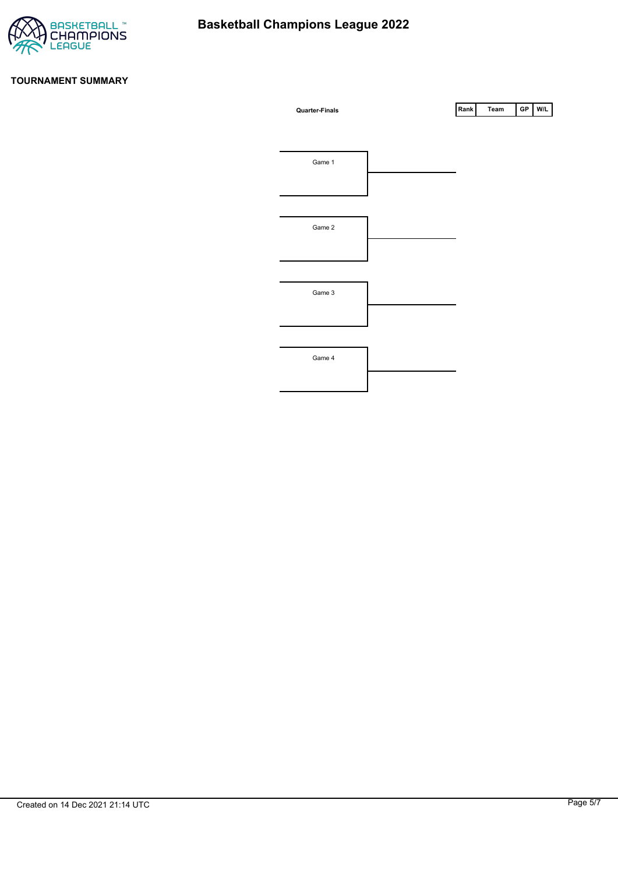

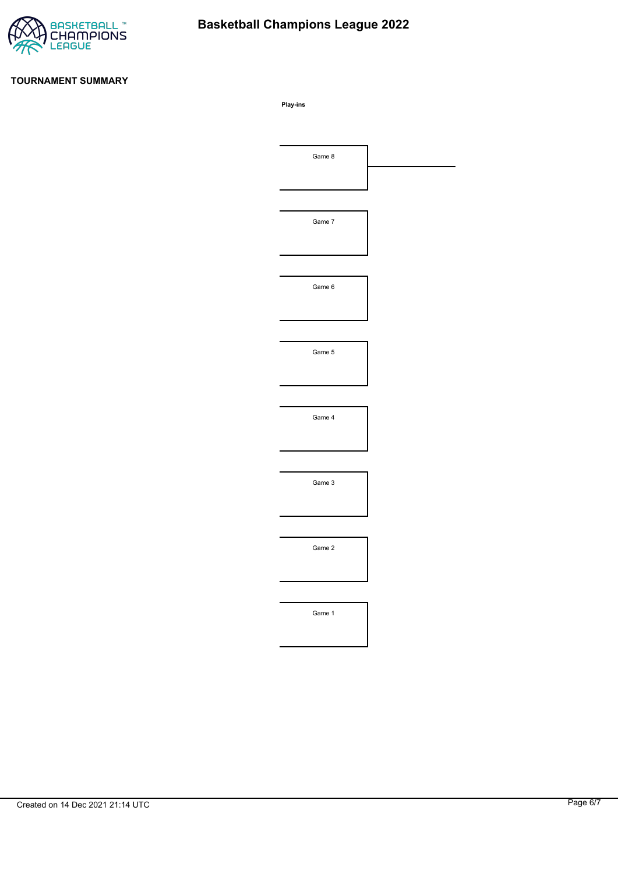

# **Basketball Champions League 2022**

#### **TOURNAMENT SUMMARY**

**Play-ins**

| Game 8 |  |
|--------|--|
|        |  |
|        |  |
| Game 7 |  |
|        |  |
|        |  |
| Game 6 |  |
|        |  |
|        |  |
| Game 5 |  |
|        |  |
|        |  |
| Game 4 |  |
|        |  |
|        |  |
| Game 3 |  |
|        |  |
|        |  |
| Game 2 |  |
|        |  |
|        |  |
| Game 1 |  |
|        |  |
|        |  |